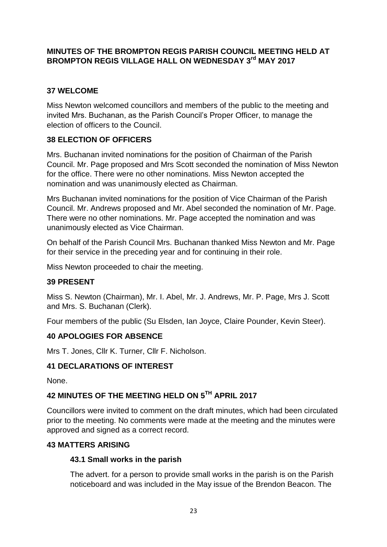## **MINUTES OF THE BROMPTON REGIS PARISH COUNCIL MEETING HELD AT**  BROMPTON REGIS VILLAGE HALL ON WEDNESDAY 3<sup>rd</sup> MAY 2017

# **37 WELCOME**

Miss Newton welcomed councillors and members of the public to the meeting and invited Mrs. Buchanan, as the Parish Council's Proper Officer, to manage the election of officers to the Council.

# **38 ELECTION OF OFFICERS**

Mrs. Buchanan invited nominations for the position of Chairman of the Parish Council. Mr. Page proposed and Mrs Scott seconded the nomination of Miss Newton for the office. There were no other nominations. Miss Newton accepted the nomination and was unanimously elected as Chairman.

Mrs Buchanan invited nominations for the position of Vice Chairman of the Parish Council. Mr. Andrews proposed and Mr. Abel seconded the nomination of Mr. Page. There were no other nominations. Mr. Page accepted the nomination and was unanimously elected as Vice Chairman.

On behalf of the Parish Council Mrs. Buchanan thanked Miss Newton and Mr. Page for their service in the preceding year and for continuing in their role.

Miss Newton proceeded to chair the meeting.

# **39 PRESENT**

Miss S. Newton (Chairman), Mr. I. Abel, Mr. J. Andrews, Mr. P. Page, Mrs J. Scott and Mrs. S. Buchanan (Clerk).

Four members of the public (Su Elsden, Ian Joyce, Claire Pounder, Kevin Steer).

# **40 APOLOGIES FOR ABSENCE**

Mrs T. Jones, Cllr K. Turner, Cllr F. Nicholson.

# **41 DECLARATIONS OF INTEREST**

None.

# **42 MINUTES OF THE MEETING HELD ON 5TH APRIL 2017**

Councillors were invited to comment on the draft minutes, which had been circulated prior to the meeting. No comments were made at the meeting and the minutes were approved and signed as a correct record.

### **43 MATTERS ARISING**

### **43.1 Small works in the parish**

The advert. for a person to provide small works in the parish is on the Parish noticeboard and was included in the May issue of the Brendon Beacon. The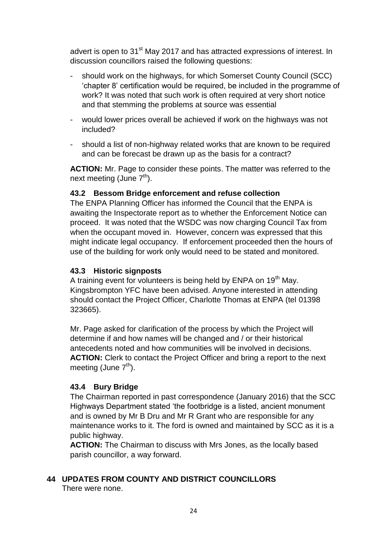advert is open to 31<sup>st</sup> May 2017 and has attracted expressions of interest. In discussion councillors raised the following questions:

- should work on the highways, for which Somerset County Council (SCC) 'chapter 8' certification would be required, be included in the programme of work? It was noted that such work is often required at very short notice and that stemming the problems at source was essential
- would lower prices overall be achieved if work on the highways was not included?
- should a list of non-highway related works that are known to be required and can be forecast be drawn up as the basis for a contract?

ACTION: Mr. Page to consider these points. The matter was referred to the next meeting (June  $7<sup>th</sup>$ ).

### **43.2 Bessom Bridge enforcement and refuse collection**

The ENPA Planning Officer has informed the Council that the ENPA is awaiting the Inspectorate report as to whether the Enforcement Notice can proceed. It was noted that the WSDC was now charging Council Tax from when the occupant moved in. However, concern was expressed that this might indicate legal occupancy. If enforcement proceeded then the hours of use of the building for work only would need to be stated and monitored.

#### **43.3 Historic signposts**

A training event for volunteers is being held by  $ENPA$  on  $19<sup>th</sup>$  May. Kingsbrompton YFC have been advised. Anyone interested in attending should contact the Project Officer, Charlotte Thomas at ENPA (tel 01398 323665).

Mr. Page asked for clarification of the process by which the Project will determine if and how names will be changed and / or their historical antecedents noted and how communities will be involved in decisions. **ACTION:** Clerk to contact the Project Officer and bring a report to the next meeting (June  $7<sup>th</sup>$ ).

### **43.4 Bury Bridge**

The Chairman reported in past correspondence (January 2016) that the SCC Highways Department stated 'the footbridge is a listed, ancient monument and is owned by Mr B Dru and Mr R Grant who are responsible for any maintenance works to it. The ford is owned and maintained by SCC as it is a public highway.

**ACTION:** The Chairman to discuss with Mrs Jones, as the locally based parish councillor, a way forward.

# **44 UPDATES FROM COUNTY AND DISTRICT COUNCILLORS**

There were none.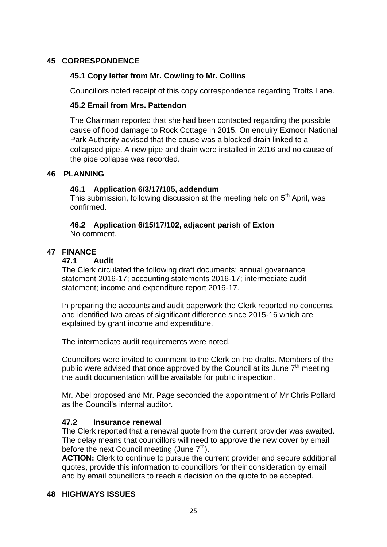### **45 CORRESPONDENCE**

#### **45.1 Copy letter from Mr. Cowling to Mr. Collins**

Councillors noted receipt of this copy correspondence regarding Trotts Lane.

#### **45.2 Email from Mrs. Pattendon**

The Chairman reported that she had been contacted regarding the possible cause of flood damage to Rock Cottage in 2015. On enquiry Exmoor National Park Authority advised that the cause was a blocked drain linked to a collapsed pipe. A new pipe and drain were installed in 2016 and no cause of the pipe collapse was recorded.

#### **46 PLANNING**

#### **46.1 Application 6/3/17/105, addendum**

This submission, following discussion at the meeting held on 5<sup>th</sup> April, was confirmed.

#### **46.2 Application 6/15/17/102, adjacent parish of Exton** No comment.

#### **47 FINANCE**

#### **47.1 Audit**

The Clerk circulated the following draft documents: annual governance statement 2016-17; accounting statements 2016-17; intermediate audit statement; income and expenditure report 2016-17.

In preparing the accounts and audit paperwork the Clerk reported no concerns, and identified two areas of significant difference since 2015-16 which are explained by grant income and expenditure.

The intermediate audit requirements were noted.

Councillors were invited to comment to the Clerk on the drafts. Members of the public were advised that once approved by the Council at its June  $7<sup>th</sup>$  meeting the audit documentation will be available for public inspection.

Mr. Abel proposed and Mr. Page seconded the appointment of Mr Chris Pollard as the Council's internal auditor.

#### **47.2 Insurance renewal**

The Clerk reported that a renewal quote from the current provider was awaited. The delay means that councillors will need to approve the new cover by email before the next Council meeting (June  $7<sup>th</sup>$ ).

**ACTION:** Clerk to continue to pursue the current provider and secure additional quotes, provide this information to councillors for their consideration by email and by email councillors to reach a decision on the quote to be accepted.

### **48 HIGHWAYS ISSUES**